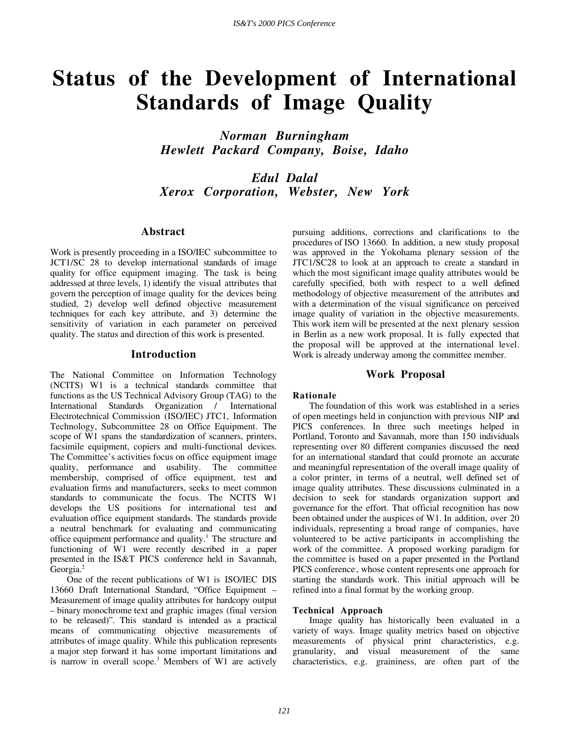# **Status of the Development of International Standards of Image Quality**

*Norman Burningham Hewlett Packard Company, Boise, Idaho*

*Edul Dalal Xerox Corporation, Webster, New York*

## **Abstract**

Work is presently proceeding in a ISO/IEC subcommittee to JCT1/SC 28 to develop international standards of image quality for office equipment imaging. The task is being addressed at three levels, 1) identify the visual attributes that govern the perception of image quality for the devices being studied, 2) develop well defined objective measurement techniques for each key attribute, and 3) determine the sensitivity of variation in each parameter on perceived quality. The status and direction of this work is presented.

#### **Introduction**

The National Committee on Information Technology (NCITS) W1 is a technical standards committee that functions as the US Technical Advisory Group (TAG) to the International Standards Organization / International Electrotechnical Commission (ISO/IEC) JTC1, Information Technology, Subcommittee 28 on Office Equipment. The scope of W1 spans the standardization of scanners, printers, facsimile equipment, copiers and multi-functional devices. The Committee's activities focus on office equipment image quality, performance and usability. The committee membership, comprised of office equipment, test and evaluation firms and manufacturers, seeks to meet common standards to communicate the focus. The NCITS W1 develops the US positions for international test and evaluation office equipment standards. The standards provide a neutral benchmark for evaluating and communicating office equipment performance and quality.<sup>1</sup> The structure and functioning of W1 were recently described in a paper presented in the IS&T PICS conference held in Savannah, Georgia.<sup>2</sup>

One of the recent publications of W1 is ISO/IEC DIS 13660 Draft International Standard, "Office Equipment – Measurement of image quality attributes for hardcopy output – binary monochrome text and graphic images (final version to be released)". This standard is intended as a practical means of communicating objective measurements of attributes of image quality. While this publication represents a major step forward it has some important limitations and is narrow in overall scope.<sup>3</sup> Members of W1 are actively

pursuing additions, corrections and clarifications to the procedures of ISO 13660. In addition, a new study proposal was approved in the Yokohama plenary session of the JTC1/SC28 to look at an approach to create a standard in which the most significant image quality attributes would be carefully specified, both with respect to a well defined methodology of objective measurement of the attributes and with a determination of the visual significance on perceived image quality of variation in the objective measurements. This work item will be presented at the next plenary session in Berlin as a new work proposal. It is fully expected that the proposal will be approved at the international level. Work is already underway among the committee member.

## **Work Proposal**

#### **Rationale**

The foundation of this work was established in a series of open meetings held in conjunction with previous NIP and PICS conferences. In three such meetings helped in Portland, Toronto and Savannah, more than 150 individuals representing over 80 different companies discussed the need for an international standard that could promote an accurate and meaningful representation of the overall image quality of a color printer, in terms of a neutral, well defined set of image quality attributes. These discussions culminated in a decision to seek for standards organization support and governance for the effort. That official recognition has now been obtained under the auspices of W1. In addition, over 20 individuals, representing a broad range of companies, have volunteered to be active participants in accomplishing the work of the committee. A proposed working paradigm for the committee is based on a paper presented in the Portland PICS conference<sup>3</sup>, whose content represents one approach for starting the standards work. This initial approach will be refined into a final format by the working group.

#### **Technical Approach**

Image quality has historically been evaluated in a variety of ways. Image quality metrics based on objective measurements of physical print characteristics, e.g. granularity, and visual measurement of the same characteristics, e.g. graininess, are often part of the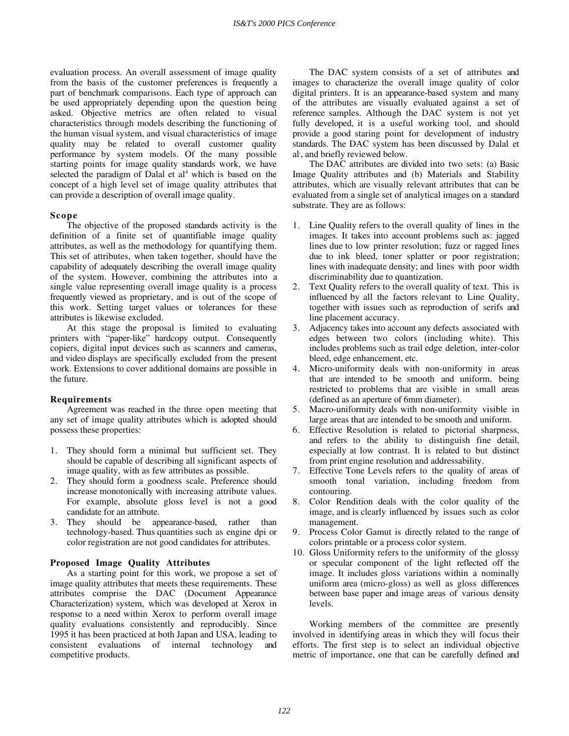evaluation process. An overall assessment of image quality from the basis of the customer preferences is frequently a part of benchmark comparisons. Each type of approach can be used appropriately depending upon the question being asked. Objective metrics are often related to visual characteristics through models describing the functioning of the human visual system, and visual characteristics of image quality may be related to overall customer quality performance by system models. Of the many possible starting points for image quality standards work, we have selected the paradigm of Dalal et  $a1<sup>4</sup>$  which is based on the concept of a high level set of image quality attributes that can provide a description of overall image quality.

## **Scope**

The objective of the proposed standards activity is the definition of a finite set of quantifiable image quality attributes, as well as the methodology for quantifying them. This set of attributes, when taken together, should have the capability of adequately describing the overall image quality of the system. However, combining the attributes into a single value representing overall image quality is a process frequently viewed as proprietary, and is out of the scope of this work. Setting target values or tolerances for these attributes is likewise excluded.

At this stage the proposal is limited to evaluating printers with "paper-like" hardcopy output. Consequently copiers, digital input devices such as scanners and cameras, and video displays are specifically excluded from the present work. Extensions to cover additional domains are possible in the future.

## **Requirements**

Agreement was reached in the three open meeting that any set of image quality attributes which is adopted should possess these properties:

- 1. They should form a minimal but sufficient set. They should be capable of describing all significant aspects of image quality, with as few attributes as possible.
- 2. They should form a goodness scale. Preference should increase monotonically with increasing attribute values. For example, absolute gloss level is not a good candidate for an attribute.
- 3. They should be appearance-based, rather than technology-based. Thus quantities such as engine dpi or color registration are not good candidates for attributes.

## **Proposed Image Quality Attributes**

As a starting point for this work, we propose a set of image quality attributes that meets these requirements. These attributes comprise the DAC (Document Appearance Characterization) system, which was developed at Xerox in response to a need within Xerox to perform overall image quality evaluations consistently and reproducibly. Since 1995 it has been practiced at both Japan and USA, leading to consistent evaluations of internal technology and competitive products.

The DAC system consists of a set of attributes and images to characterize the overall image quality of color digital printers. It is an appearance-based system and many of the attributes are visually evaluated against a set of reference samples. Although the DAC system is not yet fully developed, it is a useful working tool, and should provide a good staring point for development of industry standards. The DAC system has been discussed by Dalal et al<sup>4</sup>, and briefly reviewed below.

The DAC attributes are divided into two sets: (a) Basic Image Quality attributes and (b) Materials and Stability attributes, which are visually relevant attributes that can be evaluated from a single set of analytical images on a standard substrate. They are as follows:

- 1. Line Quality refers to the overall quality of lines in the images. It takes into account problems such as: jagged lines due to low printer resolution; fuzz or ragged lines due to ink bleed, toner splatter or poor registration; lines with inadequate density; and lines with poor width discriminability due to quantization.
- 2. Text Quality refers to the overall quality of text. This is influenced by all the factors relevant to Line Quality, together with issues such as reproduction of serifs and line placement accuracy.
- Adjacency takes into account any defects associated with edges between two colors (including white). This includes problems such as trail edge deletion, inter-color bleed, edge enhancement, etc.
- 4. Micro-uniformity deals with non-uniformity in areas that are intended to be smooth and uniform, being restricted to problems that are visible in small areas (defined as an aperture of 6mm diameter).
- 5. Macro-uniformity deals with non-uniformity visible in large areas that are intended to be smooth and uniform.
- 6. Effective Resolution is related to pictorial sharpness, and refers to the ability to distinguish fine detail, especially at low contrast. It is related to but distinct from print engine resolution and addressability.
- 7. Effective Tone Levels refers to the quality of areas of smooth tonal variation, including freedom from contouring.
- 8. Color Rendition deals with the color quality of the image, and is clearly influenced by issues such as color management.
- 9. Process Color Gamut is directly related to the range of colors printable or a process color system.
- 10. Gloss Uniformity refers to the uniformity of the glossy or specular component of the light reflected off the image. It includes gloss variations within a nominally uniform area (micro-gloss) as well as gloss differences between base paper and image areas of various density levels.

Working members of the committee are presently involved in identifying areas in which they will focus their efforts. The first step is to select an individual objective metric of importance, one that can be carefully defined and